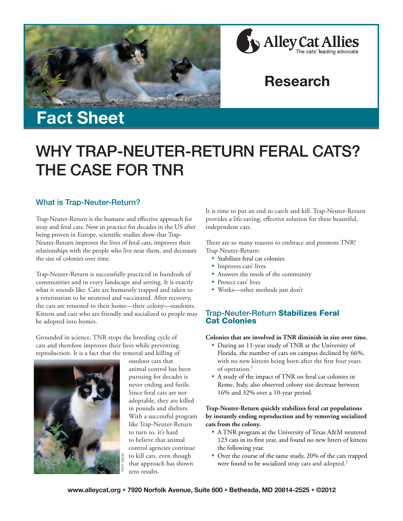



# Research

# Fact Sheet

# WHY TRAP-NEUTER-RETURN FERAL CATS? THE CASE FOR TNR

# What is Trap-Neuter-Return?

Trap-Neuter-Return is the humane and effective approach for stray and feral cats. Now in practice for decades in the US after being proven in Europe, scientific studies show that Trap-Neuter-Return improves the lives of feral cats, improves their relationships with the people who live near them, and decreases the size of colonies over time.

Trap-Neuter-Return is successfully practiced in hundreds of communities and in every landscape and setting. It is exactly what it sounds like: Cats are humanely trapped and taken to a veterinarian to be neutered and vaccinated. After recovery, the cats are returned to their home—their colony—outdoors. Kittens and cats who are friendly and socialized to people may be adopted into homes.

Grounded in science, TNR stops the breeding cycle of cats and therefore improves their lives while preventing reproduction. It is a fact that the removal and killing of



outdoor cats that animal control has been pursuing for decades is never ending and futile. Since feral cats are not adoptable, they are killed in pounds and shelters. With a successful program like Trap-Neuter-Return to turn to, it's hard to believe that animal control agencies continue to kill cats, even though that approach has shown zero results.

It is time to put an end to catch and kill. Trap-Neuter-Return provides a life-saving, effective solution for these beautiful, independent cats.

There are so many reasons to embrace and promote TNR! Trap-Neuter-Return:

- Stabilizes feral cat colonies
- Improves cats' lives
- Answers the needs of the community
- Protect cats' lives
- Works—other methods just don't

### Trap-Neuter-Return Stabilizes Feral Cat Colonies

**Colonies that are involved in TNR diminish in size over time.**

- During an 11-year study of TNR at the University of Florida, the number of cats on campus declined by 66%, with no new kittens being born after the first four years of operation.<sup>1</sup>
- A study of the impact of TNR on feral cat colonies in Rome, Italy, also observed colony size decrease between 16% and 32% over a 10-year period.

### **Trap-Neuter-Return quickly stabilizes feral cat populations by instantly ending reproduction and by removing socialized cats from the colony.**

- A TNR program at the University of Texas A&M neutered 123 cats in its first year, and found no new litters of kittens the following year.
- Over the course of the same study, 20% of the cats trapped were found to be socialized stray cats and adopted.<sup>2</sup>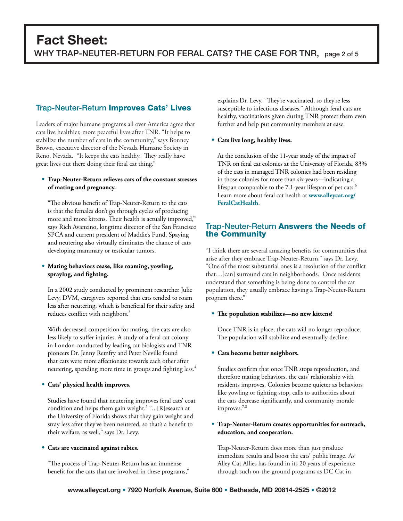## **Trap-Neuter-Return Improves Cats' Lives**

Leaders of major humane programs all over America agree that cats live healthier, more peaceful lives after TNR. "It helps to stabilize the number of cats in the community," says Bonney Brown, executive director of the Nevada Humane Society in Reno, Nevada. "It keeps the cats healthy. They really have great lives out there doing their feral cat thing."

### **• Trap-Neuter-Return relieves cats of the constant stresses of mating and pregnancy.**

"The obvious benefit of Trap-Neuter-Return to the cats is that the females don't go through cycles of producing more and more kittens. Their health is actually improved," says Rich Avanzino, longtime director of the San Francisco SPCA and current president of Maddie's Fund. Spaying and neutering also virtually eliminates the chance of cats developing mammary or testicular tumors.

### **• Mating behaviors cease, like roaming, yowling, spraying, and fighting.**

In a 2002 study conducted by prominent researcher Julie Levy, DVM, caregivers reported that cats tended to roam less after neutering, which is beneficial for their safety and reduces conflict with neighbors.<sup>3</sup>

With decreased competition for mating, the cats are also less likely to suffer injuries. A study of a feral cat colony in London conducted by leading cat biologists and TNR pioneers Dr. Jenny Remfry and Peter Neville found that cats were more affectionate towards each other after neutering, spending more time in groups and fighting less.<sup>4</sup>

### **• Cats' physical health improves.**

Studies have found that neutering improves feral cats' coat condition and helps them gain weight.<sup>5</sup> "...[R]esearch at the University of Florida shows that they gain weight and stray less after they've been neutered, so that's a benefit to their welfare, as well," says Dr. Levy.

### **• Cats are vaccinated against rabies.**

"The process of Trap-Neuter-Return has an immense benefit for the cats that are involved in these programs," explains Dr. Levy. "They're vaccinated, so they're less susceptible to infectious diseases." Although feral cats are healthy, vaccinations given during TNR protect them even further and help put community members at ease.

### **• Cats live long, healthy lives.**

At the conclusion of the 11-year study of the impact of TNR on feral cat colonies at the University of Florida, 83% of the cats in managed TNR colonies had been residing in those colonies for more than six years—indicating a lifespan comparable to the 7.1-year lifespan of pet cats.<sup>6</sup> Learn more about feral cat health at **[www.alleycat.org/](www.alleycat.org/FeralCatHealth) [FeralCatHealth](www.alleycat.org/FeralCatHealth)**.

### **Trap-Neuter-Return Answers the Needs of** the Community

"I think there are several amazing benefits for communities that arise after they embrace Trap-Neuter-Return," says Dr. Levy. "One of the most substantial ones is a resolution of the conflict that…[can] surround cats in neighborhoods. Once residents understand that something is being done to control the cat population, they usually embrace having a Trap-Neuter-Return program there."

### **• The population stabilizes—no new kittens!**

Once TNR is in place, the cats will no longer reproduce. The population will stabilize and eventually decline.

### **• Cats become better neighbors.**

Studies confirm that once TNR stops reproduction, and therefore mating behaviors, the cats' relationship with residents improves. Colonies become quieter as behaviors like yowling or fighting stop, calls to authorities about the cats decrease significantly, and community morale improves.<sup>7,8</sup>

### **• Trap-Neuter-Return creates opportunities for outreach, education, and cooperation.**

Trap-Neuter-Return does more than just produce immediate results and boost the cats' public image. As Alley Cat Allies has found in its 20 years of experience through such on-the-ground programs as DC Cat in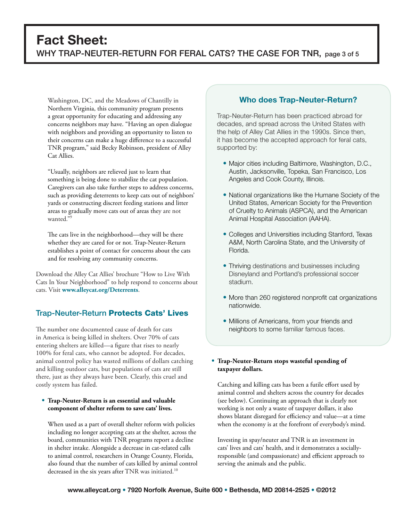# Fact Sheet: WHY TRAP-NEUTER-RETURN FOR FERAL CATS? THE CASE FOR TNR, page 3 of 5

Washington, DC, and the Meadows of Chantilly in Northern Virginia, this community program presents a great opportunity for educating and addressing any concerns neighbors may have. "Having an open dialogue with neighbors and providing an opportunity to listen to their concerns can make a huge difference to a successful TNR program," said Becky Robinson, president of Alley Cat Allies.

"Usually, neighbors are relieved just to learn that something is being done to stabilize the cat population. Caregivers can also take further steps to address concerns, such as providing deterrents to keep cats out of neighbors' yards or constructing discreet feeding stations and litter areas to gradually move cats out of areas they are not wanted."9

The cats live in the neighborhood—they will be there whether they are cared for or not. Trap-Neuter-Return establishes a point of contact for concerns about the cats and for resolving any community concerns.

Download the Alley Cat Allies' brochure "How to Live With Cats In Your Neighborhood" to help respond to concerns about cats. Visit **www.alleycat.org/Deterrents**.

# Trap-Neuter-Return Protects Cats' Lives

The number one documented cause of death for cats in America is being killed in shelters. Over 70% of cats entering shelters are killed—a figure that rises to nearly 100% for feral cats, who cannot be adopted. For decades, animal control policy has wasted millions of dollars catching and killing outdoor cats, but populations of cats are still there, just as they always have been. Clearly, this cruel and costly system has failed.

### **• Trap-Neuter-Return is an essential and valuable component of shelter reform to save cats' lives.**

When used as a part of overall shelter reform with policies including no longer accepting cats at the shelter, across the board, communities with TNR programs report a decline in shelter intake. Alongside a decrease in cat-related calls to animal control, researchers in Orange County, Florida, also found that the number of cats killed by animal control decreased in the six years after TNR was initiated.<sup>10</sup>

### Who does Trap-Neuter-Return?

Trap-Neuter-Return has been practiced abroad for decades, and spread across the United States with the help of Alley Cat Allies in the 1990s. Since then, it has become the accepted approach for feral cats, supported by:

- Major cities including Baltimore, Washington, D.C., Austin, Jacksonville, Topeka, San Francisco, Los Angeles and Cook County, Illinois.
- National organizations like the Humane Society of the United States, American Society for the Prevention of Cruelty to Animals (ASPCA), and the American Animal Hospital Association (AAHA).
- Colleges and Universities including Stanford, Texas A&M, North Carolina State, and the University of Florida.
- Thriving destinations and businesses including Disneyland and Portland's professional soccer stadium.
- More than 260 registered nonprofit cat organizations nationwide.
- Millions of Americans, from your friends and neighbors to some familiar famous faces.

### **• Trap-Neuter-Return stops wasteful spending of taxpayer dollars.**

Catching and killing cats has been a futile effort used by animal control and shelters across the country for decades (see below). Continuing an approach that is clearly not working is not only a waste of taxpayer dollars, it also shows blatant disregard for efficiency and value—at a time when the economy is at the forefront of everybody's mind.

Investing in spay/neuter and TNR is an investment in cats' lives and cats' health, and it demonstrates a sociallyresponsible (and compassionate) and efficient approach to serving the animals and the public.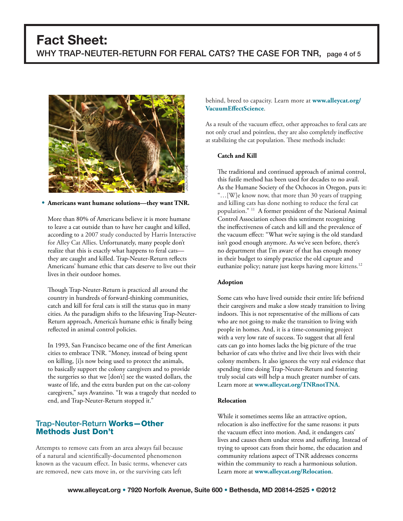# Fact Sheet: WHY TRAP-NEUTER-RETURN FOR FERAL CATS? THE CASE FOR TNR, page 4 of 5



#### **• Americans want humane solutions—they want TNR.**

More than 80% of Americans believe it is more humane to leave a cat outside than to have her caught and killed, according to a [2007 study conducted by Harris Interactive](http://www.alleycat.org/Document.Doc?id=61)  [for Alley Cat Allies.](http://www.alleycat.org/Document.Doc?id=61) Unfortunately, many people don't realize that this is exactly what happens to feral cats they are caught and killed. Trap-Neuter-Return reflects Americans' humane ethic that cats deserve to live out their lives in their outdoor homes.

Though Trap-Neuter-Return is practiced all around the country in hundreds of forward-thinking communities, catch and kill for feral cats is still the status quo in many cities. As the paradigm shifts to the lifesaving Trap-Neuter-Return approach, America's humane ethic is finally being reflected in animal control policies.

In 1993, San Francisco became one of the first American cities to embrace TNR. "Money, instead of being spent on killing, [i]s now being used to protect the animals, to basically support the colony caregivers and to provide the surgeries so that we [don't] see the wasted dollars, the waste of life, and the extra burden put on the cat-colony caregivers," says Avanzino. "It was a tragedy that needed to end, and Trap-Neuter-Return stopped it."

### Trap-Neuter-Return Works—Other Methods Just Don't

Attempts to remove cats from an area always fail because of a natural and scientifically-documented phenomenon known as the vacuum effect. In basic terms, whenever cats are removed, new cats move in, or the surviving cats left

behind, breed to capacity. Learn more at **[www.alleycat.org/](http://www.alleycat.org/vacuumeffectscience) [VacuumEffectScience](http://www.alleycat.org/vacuumeffectscience)**.

As a result of the vacuum effect, other approaches to feral cats are not only cruel and pointless, they are also completely ineffective at stabilizing the cat population. These methods include:

### **Catch and Kill**

The traditional and continued approach of animal control, this futile method has been used for decades to no avail. As the Humane Society of the Ochocos in Oregon, puts it: "…[W]e know now, that more than 30 years of trapping and killing cats has done nothing to reduce the feral cat population." 11 A former president of the National Animal Control Association echoes this sentiment recognizing the ineffectiveness of catch and kill and the prevalence of the vacuum effect: "What we're saying is the old standard isn't good enough anymore. As we've seen before, there's no department that I'm aware of that has enough money in their budget to simply practice the old capture and euthanize policy; nature just keeps having more kittens.<sup>12</sup>

### **Adoption**

Some cats who have lived outside their entire life befriend their caregivers and make a slow steady transition to living indoors. This is not representative of the millions of cats who are not going to make the transition to living with people in homes. And, it is a time-consuming project with a very low rate of success. To suggest that all feral cats can go into homes lacks the big picture of the true behavior of cats who thrive and live their lives with their colony members. It also ignores the very real evidence that spending time doing Trap-Neuter-Return and fostering truly social cats will help a much greater number of cats. Learn more at **<www.alleycat.org/TNRnotTNA>**.

### **Relocation**

While it sometimes seems like an attractive option, relocation is also ineffective for the same reasons: it puts the vacuum effect into motion. And, it endangers cats' lives and causes them undue stress and suffering. Instead of trying to uproot cats from their home, the education and community relations aspect of TNR addresses concerns within the community to reach a harmonious solution. Learn more at **www.alleycat.org/Relocation**.